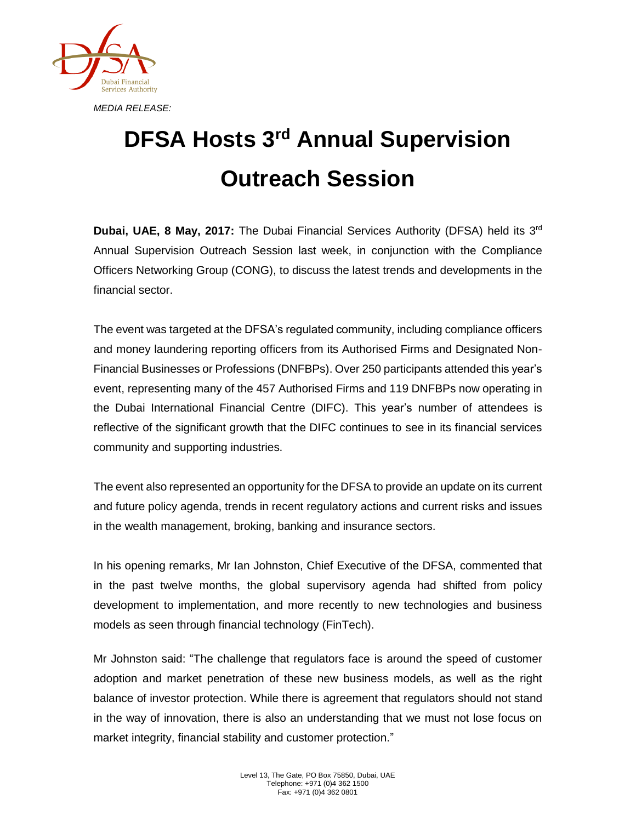

## **DFSA Hosts 3 rd Annual Supervision Outreach Session**

**Dubai, UAE, 8 May, 2017:** The Dubai Financial Services Authority (DFSA) held its 3<sup>rd</sup> Annual Supervision Outreach Session last week, in conjunction with the Compliance Officers Networking Group (CONG), to discuss the latest trends and developments in the financial sector.

The event was targeted at the DFSA's regulated community, including compliance officers and money laundering reporting officers from its Authorised Firms and Designated Non-Financial Businesses or Professions (DNFBPs). Over 250 participants attended this year's event, representing many of the 457 Authorised Firms and 119 DNFBPs now operating in the Dubai International Financial Centre (DIFC). This year's number of attendees is reflective of the significant growth that the DIFC continues to see in its financial services community and supporting industries.

The event also represented an opportunity for the DFSA to provide an update on its current and future policy agenda, trends in recent regulatory actions and current risks and issues in the wealth management, broking, banking and insurance sectors.

In his opening remarks, Mr Ian Johnston, Chief Executive of the DFSA, commented that in the past twelve months, the global supervisory agenda had shifted from policy development to implementation, and more recently to new technologies and business models as seen through financial technology (FinTech).

Mr Johnston said: "The challenge that regulators face is around the speed of customer adoption and market penetration of these new business models, as well as the right balance of investor protection. While there is agreement that regulators should not stand in the way of innovation, there is also an understanding that we must not lose focus on market integrity, financial stability and customer protection."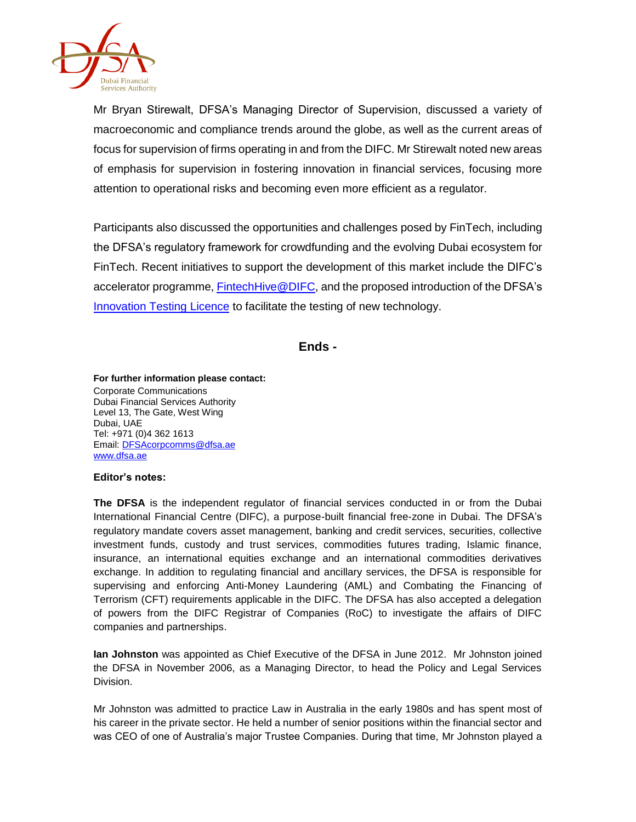

Mr Bryan Stirewalt, DFSA's Managing Director of Supervision, discussed a variety of macroeconomic and compliance trends around the globe, as well as the current areas of focus for supervision of firms operating in and from the DIFC. Mr Stirewalt noted new areas of emphasis for supervision in fostering innovation in financial services, focusing more attention to operational risks and becoming even more efficient as a regulator.

Participants also discussed the opportunities and challenges posed by FinTech, including the DFSA's regulatory framework for crowdfunding and the evolving Dubai ecosystem for FinTech. Recent initiatives to support the development of this market include the DIFC's accelerator programme[, FintechHive@DIFC,](https://fintechhive.difc.ae/?utm_source=difc&utm_medium=home-page-banner) and the proposed introduction of the DFSA's [Innovation Testing Licence](http://www.dfsa.ae/en/What-We-Do/Authorisation#FinTech) to facilitate the testing of new technology.

**Ends -**

**For further information please contact:**

Corporate Communications Dubai Financial Services Authority Level 13, The Gate, West Wing Dubai, UAE Tel: +971 (0)4 362 1613 Email[: DFSAcorpcomms@dfsa.ae](mailto:DFSAcorpcomms@dfsa.ae) [www.dfsa.ae](http://www.dfsa.ae/)

## **Editor's notes:**

**The DFSA** is the independent regulator of financial services conducted in or from the Dubai International Financial Centre (DIFC), a purpose-built financial free-zone in Dubai. The DFSA's regulatory mandate covers asset management, banking and credit services, securities, collective investment funds, custody and trust services, commodities futures trading, Islamic finance, insurance, an international equities exchange and an international commodities derivatives exchange. In addition to regulating financial and ancillary services, the DFSA is responsible for supervising and enforcing Anti-Money Laundering (AML) and Combating the Financing of Terrorism (CFT) requirements applicable in the DIFC. The DFSA has also accepted a delegation of powers from the DIFC Registrar of Companies (RoC) to investigate the affairs of DIFC companies and partnerships.

**Ian Johnston** was appointed as Chief Executive of the DFSA in June 2012. Mr Johnston joined the DFSA in November 2006, as a Managing Director, to head the Policy and Legal Services Division.

Mr Johnston was admitted to practice Law in Australia in the early 1980s and has spent most of his career in the private sector. He held a number of senior positions within the financial sector and was CEO of one of Australia's major Trustee Companies. During that time, Mr Johnston played a